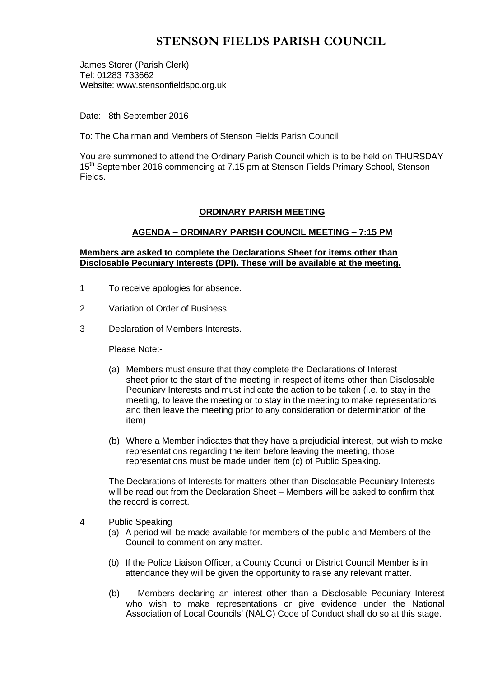# **STENSON FIELDS PARISH COUNCIL**

James Storer (Parish Clerk) Tel: 01283 733662 Website: www.stensonfieldspc.org.uk

Date: 8th September 2016

To: The Chairman and Members of Stenson Fields Parish Council

You are summoned to attend the Ordinary Parish Council which is to be held on THURSDAY 15<sup>th</sup> September 2016 commencing at 7.15 pm at Stenson Fields Primary School, Stenson Fields.

### **ORDINARY PARISH MEETING**

### **AGENDA – ORDINARY PARISH COUNCIL MEETING – 7:15 PM**

### **Members are asked to complete the Declarations Sheet for items other than Disclosable Pecuniary Interests (DPI). These will be available at the meeting.**

- 1 To receive apologies for absence.
- 2 Variation of Order of Business
- 3 Declaration of Members Interests.

Please Note:-

- (a) Members must ensure that they complete the Declarations of Interest sheet prior to the start of the meeting in respect of items other than Disclosable Pecuniary Interests and must indicate the action to be taken (i.e. to stay in the meeting, to leave the meeting or to stay in the meeting to make representations and then leave the meeting prior to any consideration or determination of the item)
- (b) Where a Member indicates that they have a prejudicial interest, but wish to make representations regarding the item before leaving the meeting, those representations must be made under item (c) of Public Speaking.

The Declarations of Interests for matters other than Disclosable Pecuniary Interests will be read out from the Declaration Sheet – Members will be asked to confirm that the record is correct.

- 4 Public Speaking
	- (a) A period will be made available for members of the public and Members of the Council to comment on any matter.
	- (b) If the Police Liaison Officer, a County Council or District Council Member is in attendance they will be given the opportunity to raise any relevant matter.
	- (b) Members declaring an interest other than a Disclosable Pecuniary Interest who wish to make representations or give evidence under the National Association of Local Councils' (NALC) Code of Conduct shall do so at this stage.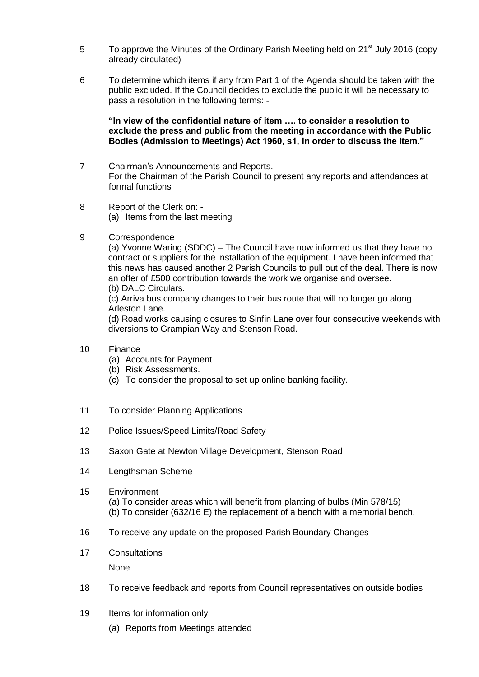- 5 To approve the Minutes of the Ordinary Parish Meeting held on 21<sup>st</sup> July 2016 (copy already circulated)
- 6 To determine which items if any from Part 1 of the Agenda should be taken with the public excluded. If the Council decides to exclude the public it will be necessary to pass a resolution in the following terms: -

### **"In view of the confidential nature of item …. to consider a resolution to exclude the press and public from the meeting in accordance with the Public Bodies (Admission to Meetings) Act 1960, s1, in order to discuss the item."**

- 7 Chairman's Announcements and Reports. For the Chairman of the Parish Council to present any reports and attendances at formal functions
- 8 Report of the Clerk on: (a) Items from the last meeting
- 9 Correspondence

(a) Yvonne Waring (SDDC) – The Council have now informed us that they have no contract or suppliers for the installation of the equipment. I have been informed that this news has caused another 2 Parish Councils to pull out of the deal. There is now an offer of £500 contribution towards the work we organise and oversee. (b) DALC Circulars.

(c) Arriva bus company changes to their bus route that will no longer go along Arleston Lane.

(d) Road works causing closures to Sinfin Lane over four consecutive weekends with diversions to Grampian Way and Stenson Road.

- 10 Finance
	- (a) Accounts for Payment
	- (b) Risk Assessments.
	- (c) To consider the proposal to set up online banking facility.
- 11 To consider Planning Applications
- 12 Police Issues/Speed Limits/Road Safety
- 13 Saxon Gate at Newton Village Development, Stenson Road
- 14 Lengthsman Scheme
- 15 Environment (a) To consider areas which will benefit from planting of bulbs (Min 578/15) (b) To consider (632/16 E) the replacement of a bench with a memorial bench.
- 16 To receive any update on the proposed Parish Boundary Changes
- 17 Consultations

None

- 18 To receive feedback and reports from Council representatives on outside bodies
- 19 Items for information only
	- (a) Reports from Meetings attended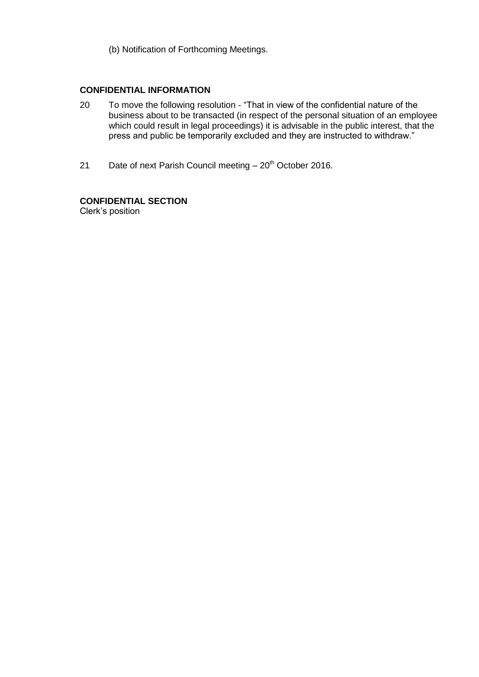(b) Notification of Forthcoming Meetings.

### **CONFIDENTIAL INFORMATION**

- 20 To move the following resolution "That in view of the confidential nature of the business about to be transacted (in respect of the personal situation of an employee which could result in legal proceedings) it is advisable in the public interest, that the press and public be temporarily excluded and they are instructed to withdraw."
- 21 Date of next Parish Council meeting  $-20<sup>th</sup>$  October 2016.

# **CONFIDENTIAL SECTION**

Clerk's position